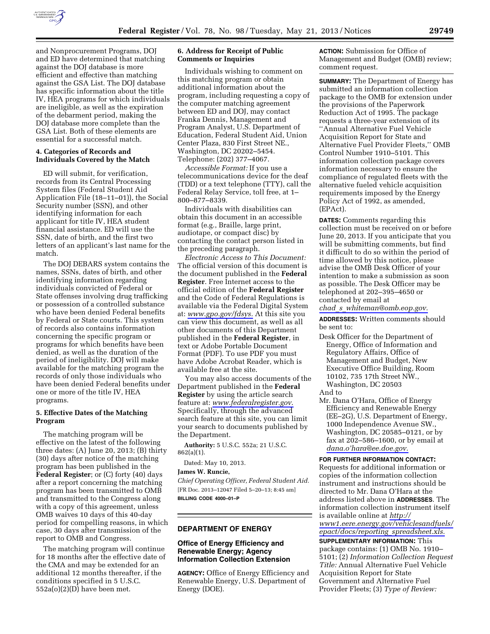

and Nonprocurement Programs, DOJ and ED have determined that matching against the DOJ database is more efficient and effective than matching against the GSA List. The DOJ database has specific information about the title IV, HEA programs for which individuals are ineligible, as well as the expiration of the debarment period, making the DOJ database more complete than the GSA List. Both of these elements are essential for a successful match.

### **4. Categories of Records and Individuals Covered by the Match**

ED will submit, for verification, records from its Central Processing System files (Federal Student Aid Application File (18–11–01)), the Social Security number (SSN), and other identifying information for each applicant for title IV, HEA student financial assistance. ED will use the SSN, date of birth, and the first two letters of an applicant's last name for the match.

The DOJ DEBARS system contains the names, SSNs, dates of birth, and other identifying information regarding individuals convicted of Federal or State offenses involving drug trafficking or possession of a controlled substance who have been denied Federal benefits by Federal or State courts. This system of records also contains information concerning the specific program or programs for which benefits have been denied, as well as the duration of the period of ineligibility. DOJ will make available for the matching program the records of only those individuals who have been denied Federal benefits under one or more of the title IV, HEA programs.

### **5. Effective Dates of the Matching Program**

The matching program will be effective on the latest of the following three dates: (A) June 20, 2013; (B) thirty (30) days after notice of the matching program has been published in the **Federal Register**; or (C) forty (40) days after a report concerning the matching program has been transmitted to OMB and transmitted to the Congress along with a copy of this agreement, unless OMB waives 10 days of this 40-day period for compelling reasons, in which case, 30 days after transmission of the report to OMB and Congress.

The matching program will continue for 18 months after the effective date of the CMA and may be extended for an additional 12 months thereafter, if the conditions specified in 5 U.S.C.  $552a(o)(2)(D)$  have been met.

### **6. Address for Receipt of Public Comments or Inquiries**

Individuals wishing to comment on this matching program or obtain additional information about the program, including requesting a copy of the computer matching agreement between ED and DOJ, may contact Franka Dennis, Management and Program Analyst, U.S. Department of Education, Federal Student Aid, Union Center Plaza, 830 First Street NE., Washington, DC 20202–5454. Telephone: (202) 377–4067.

*Accessible Format:* If you use a telecommunications device for the deaf (TDD) or a text telephone (TTY), call the Federal Relay Service, toll free, at 1– 800–877–8339.

Individuals with disabilities can obtain this document in an accessible format (e.g., Braille, large print, audiotape, or compact disc) by contacting the contact person listed in the preceding paragraph.

*Electronic Access to This Document:*  The official version of this document is the document published in the **Federal Register**. Free Internet access to the official edition of the **Federal Register**  and the Code of Federal Regulations is available via the Federal Digital System at: *[www.gpo.gov/fdsys.](http://www.gpo.gov/fdsys)* At this site you can view this document, as well as all other documents of this Department published in the **Federal Register**, in text or Adobe Portable Document Format (PDF). To use PDF you must have Adobe Acrobat Reader, which is available free at the site.

You may also access documents of the Department published in the **Federal Register** by using the article search feature at: *[www.federalregister.gov](http://www.federalregister.gov)*. Specifically, through the advanced search feature at this site, you can limit your search to documents published by the Department.

**Authority:** 5 U.S.C. 552a; 21 U.S.C. 862(a)(1).

Dated: May 10, 2013.

# **James W. Runcie,**

*Chief Operating Officer, Federal Student Aid.*  [FR Doc. 2013–12047 Filed 5–20–13; 8:45 am] **BILLING CODE 4000–01–P** 

#### **DEPARTMENT OF ENERGY**

### **Office of Energy Efficiency and Renewable Energy; Agency Information Collection Extension**

**AGENCY:** Office of Energy Efficiency and Renewable Energy, U.S. Department of Energy (DOE).

**ACTION:** Submission for Office of Management and Budget (OMB) review; comment request.

**SUMMARY:** The Department of Energy has submitted an information collection package to the OMB for extension under the provisions of the Paperwork Reduction Act of 1995. The package requests a three-year extension of its ''Annual Alternative Fuel Vehicle Acquisition Report for State and Alternative Fuel Provider Fleets,'' OMB Control Number 1910–5101. This information collection package covers information necessary to ensure the compliance of regulated fleets with the alternative fueled vehicle acquisition requirements imposed by the Energy Policy Act of 1992, as amended, (EPAct).

**DATES:** Comments regarding this collection must be received on or before June 20, 2013. If you anticipate that you will be submitting comments, but find it difficult to do so within the period of time allowed by this notice, please advise the OMB Desk Officer of your intention to make a submission as soon as possible. The Desk Officer may be telephoned at 202–395–4650 or contacted by email at *chad*\_*s*\_*[whiteman@omb.eop.gov.](mailto:chad_s_whiteman@omb.eop.gov)* 

**ADDRESSES:** Written comments should be sent to:

- Desk Officer for the Department of Energy, Office of Information and Regulatory Affairs, Office of Management and Budget, New Executive Office Building, Room 10102, 735 17th Street NW., Washington, DC 20503 And to
- Mr. Dana O'Hara, Office of Energy Efficiency and Renewable Energy (EE–2G), U.S. Department of Energy, 1000 Independence Avenue SW., Washington, DC 20585–0121, or by fax at 202–586–1600, or by email at *[dana.o'hara@ee.doe.gov.](mailto:dana.o�hara@ee.doe.gov)*

**FOR FURTHER INFORMATION CONTACT:**  Requests for additional information or copies of the information collection instrument and instructions should be directed to Mr. Dana O'Hara at the address listed above in **ADDRESSES**. The information collection instrument itself is available online at *[http://](http://www1.eere.energy.gov/vehiclesandfuels/epact/docs/reporting_spreadsheet.xls) [www1.eere.energy.gov/vehiclesandfuels/](http://www1.eere.energy.gov/vehiclesandfuels/epact/docs/reporting_spreadsheet.xls)  [epact/docs/reporting](http://www1.eere.energy.gov/vehiclesandfuels/epact/docs/reporting_spreadsheet.xls)*\_*spreadsheet.xls.* 

**SUPPLEMENTARY INFORMATION:** This package contains: (1) OMB No. 1910– 5101; (2) *Information Collection Request Title:* Annual Alternative Fuel Vehicle Acquisition Report for State Government and Alternative Fuel Provider Fleets; (3) *Type of Review:*